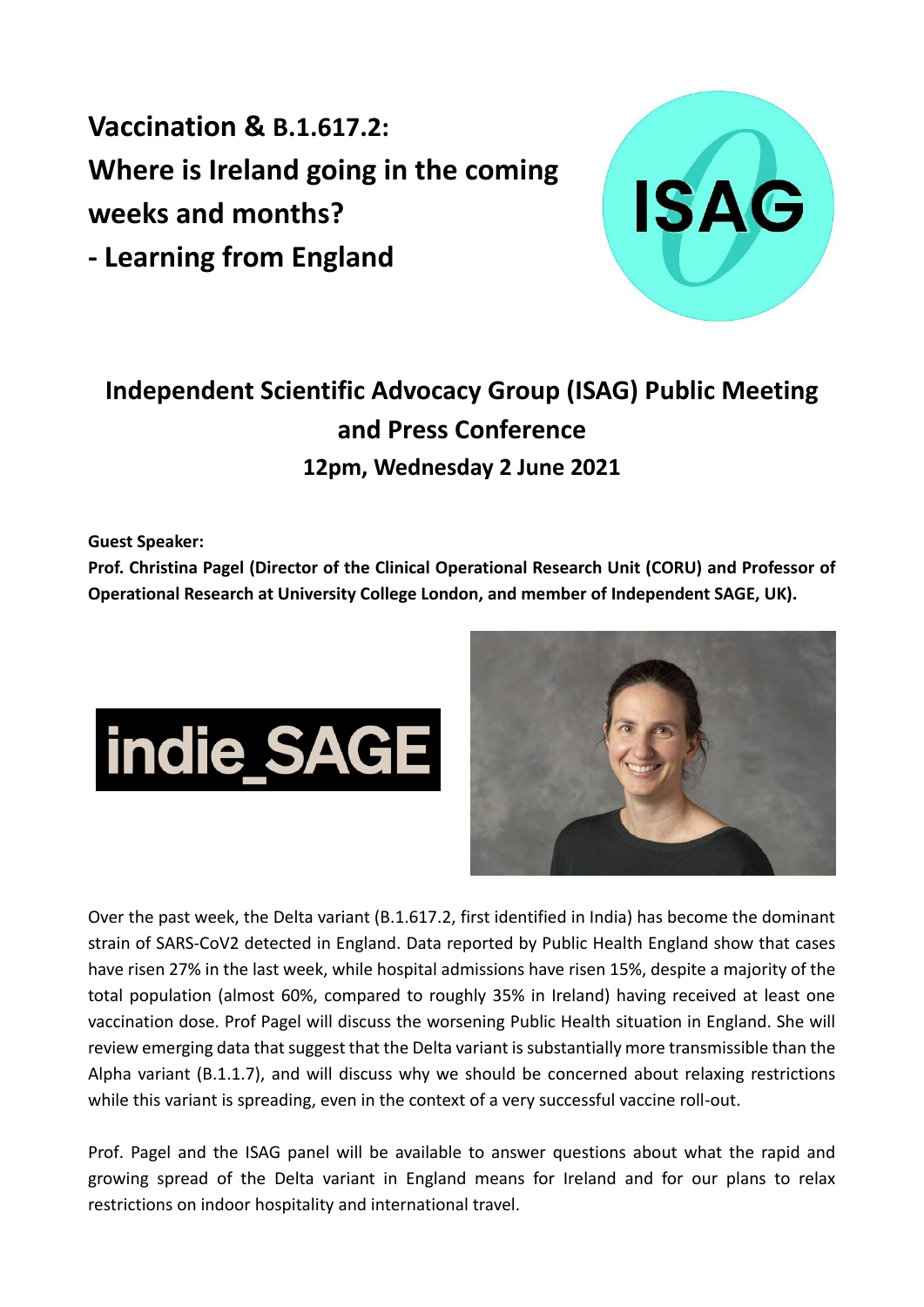**Vaccination & B.1.617.2: Where is Ireland going in the coming weeks and months? - Learning from England**



## **Independent Scientific Advocacy Group (ISAG) Public Meeting and Press Conference 12pm, Wednesday 2 June 2021**

**Guest Speaker:**

**Prof. Christina Pagel (Director of the Clinical Operational Research Unit (CORU) and Professor of Operational Research at University College London, and member of Independent SAGE, UK).** 





Over the past week, the Delta variant (B.1.617.2, first identified in India) has become the dominant strain of SARS-CoV2 detected in England. Data reported by Public Health England show that cases have risen 27% in the last week, while hospital admissions have risen 15%, despite a majority of the total population (almost 60%, compared to roughly 35% in Ireland) having received at least one vaccination dose. Prof Pagel will discuss the worsening Public Health situation in England. She will review emerging data that suggest that the Delta variant is substantially more transmissible than the Alpha variant (B.1.1.7), and will discuss why we should be concerned about relaxing restrictions while this variant is spreading, even in the context of a very successful vaccine roll-out.

Prof. Pagel and the ISAG panel will be available to answer questions about what the rapid and growing spread of the Delta variant in England means for Ireland and for our plans to relax restrictions on indoor hospitality and international travel.